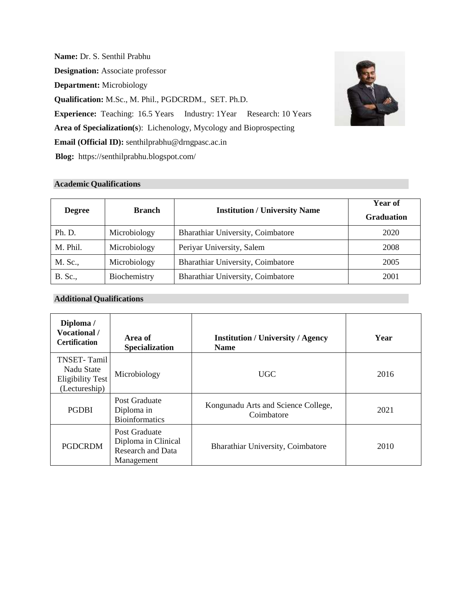**Name:** Dr. S. Senthil Prabhu **Designation:** Associate professor **Department:** Microbiology **Qualification:** M.Sc., M. Phil., PGDCRDM., SET. Ph.D. **Experience:** Teaching: 16.5 Years Industry: 1Year Research: 10 Years **Area of Specialization(s**): Lichenology, Mycology and Bioprospecting **Email (Official ID):** [senthilprabhu@drngpasc.ac.in](mailto:senthilprabhu@drngpasc.ac.in) **Blog:** https://senthilprabhu.blogspot.com/

# **Academic Qualifications**

| <b>Degree</b> | <b>Branch</b> | <b>Institution / University Name</b> | Year of<br><b>Graduation</b> |
|---------------|---------------|--------------------------------------|------------------------------|
| Ph. D.        | Microbiology  | Bharathiar University, Coimbatore    | 2020                         |
| M. Phil.      | Microbiology  | Periyar University, Salem            | 2008                         |
| M. Sc.,       | Microbiology  | Bharathiar University, Coimbatore    | 2005                         |
| B. Sc.,       | Biochemistry  | Bharathiar University, Coimbatore    | 2001                         |

# **Additional Qualifications**

| Diploma /<br><b>Vocational</b> /<br><b>Certification</b>                     | Area of<br><b>Specialization</b>                                               | <b>Institution / University / Agency</b><br><b>Name</b> | Year |
|------------------------------------------------------------------------------|--------------------------------------------------------------------------------|---------------------------------------------------------|------|
| <b>TNSET-Tamil</b><br>Nadu State<br><b>Eligibility Test</b><br>(Lectureship) | Microbiology                                                                   | <b>UGC</b>                                              | 2016 |
| <b>PGDBI</b>                                                                 | Post Graduate<br>Diploma in<br><b>Bioinformatics</b>                           | Kongunadu Arts and Science College,<br>Coimbatore       | 2021 |
| <b>PGDCRDM</b>                                                               | Post Graduate<br>Diploma in Clinical<br><b>Research and Data</b><br>Management | Bharathiar University, Coimbatore                       | 2010 |

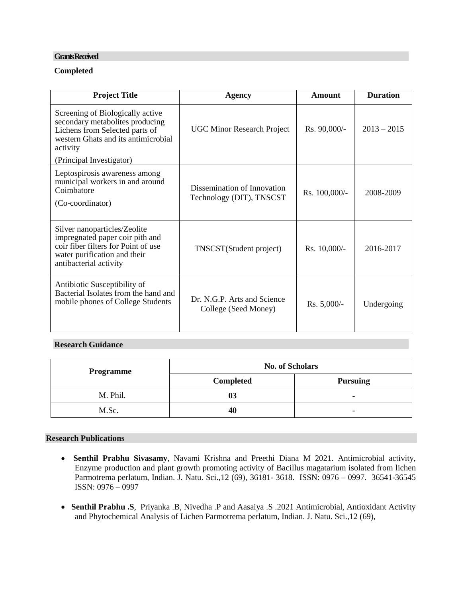#### **Grants Received**

# **Completed**

| <b>Project Title</b>                                                                                                                                             | Agency                                                  | <b>Amount</b>  | <b>Duration</b> |
|------------------------------------------------------------------------------------------------------------------------------------------------------------------|---------------------------------------------------------|----------------|-----------------|
| Screening of Biologically active<br>secondary metabolites producing<br>Lichens from Selected parts of<br>western Ghats and its antimicrobial<br>activity         | <b>UGC Minor Research Project</b>                       | Rs. 90,000/-   | $2013 - 2015$   |
| (Principal Investigator)                                                                                                                                         |                                                         |                |                 |
| Leptospirosis awareness among<br>municipal workers in and around<br>Coimbatore<br>(Co-coordinator)                                                               | Dissemination of Innovation<br>Technology (DIT), TNSCST | Rs. 100,000/-  | 2008-2009       |
| Silver nanoparticles/Zeolite<br>impregnated paper coir pith and<br>coir fiber filters for Point of use<br>water purification and their<br>antibacterial activity | TNSCST(Student project)                                 | $Rs. 10,000/-$ | 2016-2017       |
| Antibiotic Susceptibility of<br>Bacterial Isolates from the hand and<br>mobile phones of College Students                                                        | Dr. N.G.P. Arts and Science<br>College (Seed Money)     | Rs. 5,000/-    | Undergoing      |

# **Research Guidance**

| <b>Programme</b> | <b>No. of Scholars</b> |                 |  |
|------------------|------------------------|-----------------|--|
|                  | Completed              | <b>Pursuing</b> |  |
| M. Phil.         |                        |                 |  |
| M.Sc.            | 40                     |                 |  |

### **Research Publications**

- **Senthil Prabhu Sivasamy**, Navami Krishna and Preethi Diana M 2021. Antimicrobial activity, Enzyme production and plant growth promoting activity of Bacillus magatarium isolated from lichen Parmotrema perlatum, Indian. J. Natu. Sci.,12 (69), 36181- 3618. ISSN: 0976 – 0997. 36541-36545 ISSN: 0976 – 0997
- **Senthil Prabhu .S**, Priyanka .B, Nivedha .P and Aasaiya .S .2021 Antimicrobial, Antioxidant Activity and Phytochemical Analysis of Lichen Parmotrema perlatum, Indian. J. Natu. Sci.,12 (69),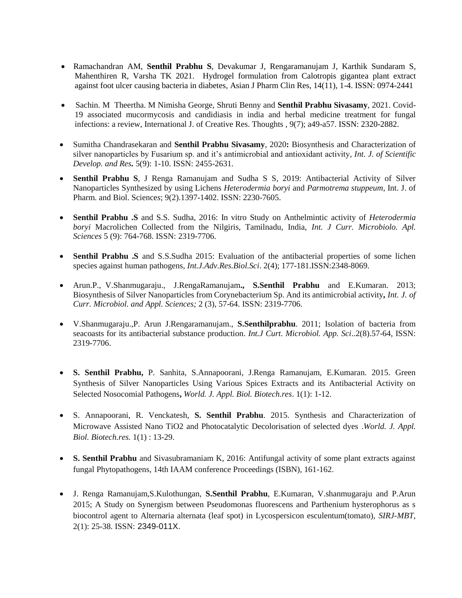- Ramachandran AM, **Senthil Prabhu S**, Devakumar J, Rengaramanujam J, Karthik Sundaram S, Mahenthiren R, Varsha TK 2021. Hydrogel formulation from Calotropis gigantea plant extract against foot ulcer causing bacteria in diabetes, Asian J Pharm Clin Res, 14(11), 1-4. ISSN: 0974-2441
- Sachin. M Theertha. M Nimisha George, Shruti Benny and **Senthil Prabhu Sivasamy**, 2021. Covid-19 associated mucormycosis and candidiasis in india and herbal medicine treatment for fungal infections: a review, International J. of Creative Res. Thoughts , 9(7); a49-a57. ISSN: 2320-2882.
- Sumitha Chandrasekaran and **Senthil Prabhu Sivasamy**, 2020**:** Biosynthesis and Characterization of silver nanoparticles by Fusarium sp. and it's antimicrobial and antioxidant activity, *Int. J. of Scientific Develop. and Res.* 5(9): 1-10. ISSN: 2455-2631.
- **Senthil Prabhu S**, J Renga Ramanujam and Sudha S S, 2019: Antibacterial Activity of Silver Nanoparticles Synthesized by using Lichens *Heterodermia boryi* and *Parmotrema stuppeum*, Int. J. of Pharm. and Biol. Science*s*; 9(2).1397-1402. ISSN: 2230-7605.
- **Senthil Prabhu .S** and S.S. Sudha, 2016: In vitro Study on Anthelmintic activity of *Heterodermia boryi* Macrolichen Collected from the Nilgiris, Tamilnadu, India, *Int. J Curr. Microbiolo. Apl. Sciences* 5 (9): 764-768. ISSN: 2319-7706.
- **Senthil Prabhu .S** and S.S.Sudha 2015: Evaluation of the antibacterial properties of some lichen species against human pathogens, *Int.J.Adv.Res.Biol.Sci*. 2(4); 177-181.ISSN:2348-8069.
- Arun.P., V.Shanmugaraju., J.RengaRamanujam**., S.Senthil Prabhu** and E.Kumaran. 2013; Biosynthesis of Silver Nanoparticles from Corynebacterium Sp. And its antimicrobial activity**,** *Int. J. of Curr. Microbiol. and Appl. Sciences;* 2 (3), 57-64. ISSN: 2319-7706.
- V.Shanmugaraju.,P. Arun J.Rengaramanujam., **S.Senthilprabhu**. 2011; Isolation of bacteria from seacoasts for its antibacterial substance production. *Int.J Curt. Microbiol. App. Sci*..2(8).57-64, ISSN: 2319-7706.
- **S. Senthil Prabhu,** P. Sanhita, S.Annapoorani, J.Renga Ramanujam, E.Kumaran. 2015. Green Synthesis of Silver Nanoparticles Using Various Spices Extracts and its Antibacterial Activity on Selected Nosocomial Pathogens**,** *World. J. Appl. Biol. Biotech.res*. 1(1): 1-12.
- S. Annapoorani, R. Venckatesh, **S. Senthil Prabhu**. 2015. Synthesis and Characterization of Microwave Assisted Nano TiO2 and Photocatalytic Decolorisation of selected dyes .*World. J. Appl. Biol. Biotech.res.* 1(1) : 13-29.
- **S. Senthil Prabhu** and Sivasubramaniam K, 2016: Antifungal activity of some plant extracts against fungal Phytopathogens, 14th IAAM conference Proceedings (ISBN), 161-162.
- J. Renga Ramanujam,S.Kulothungan, **S.Senthil Prabhu**, E.Kumaran, V.shanmugaraju and P.Arun 2015; A Study on Synergism between Pseudomonas fluorescens and Parthenium hysterophorus as s biocontrol agent to Alternaria alternata (leaf spot) in Lycospersicon esculentum(tomato), *SIRJ-MBT*, 2(1): 25-38. ISSN: 2349-011X.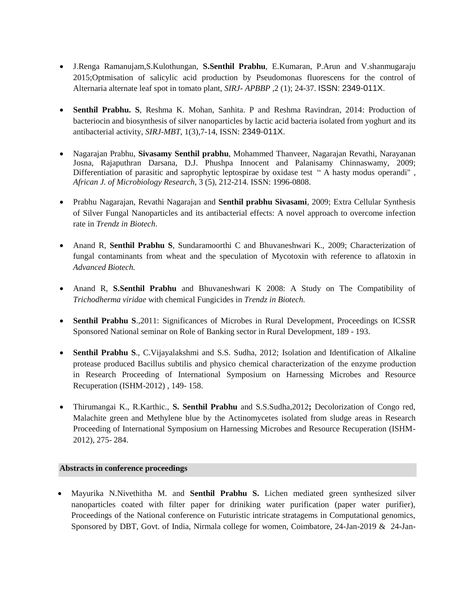- J.Renga Ramanujam,S.Kulothungan, **S.Senthil Prabhu**, E.Kumaran, P.Arun and V.shanmugaraju 2015;Optmisation of salicylic acid production by Pseudomonas fluorescens for the control of Alternaria alternate leaf spot in tomato plant, *SIRJ- APBBP* ,2 (1); 24-37. ISSN: 2349-011X.
- **Senthil Prabhu. S**, Reshma K. Mohan, Sanhita. P and Reshma Ravindran, 2014: Production of bacteriocin and biosynthesis of silver nanoparticles by lactic acid bacteria isolated from yoghurt and its antibacterial activity, *SIRJ-MBT*, 1(3),7-14, ISSN: 2349-011X.
- Nagarajan Prabhu, **Sivasamy Senthil prabhu**, Mohammed Thanveer, Nagarajan Revathi, Narayanan Josna, Rajaputhran Darsana, D.J. Phushpa Innocent and Palanisamy Chinnaswamy, 2009; Differentiation of parasitic and saprophytic leptospirae by oxidase test " A hasty modus operandi", *African J. of Microbiology Research*, 3 (5), 212-214. ISSN: 1996-0808.
- Prabhu Nagarajan, Revathi Nagarajan and **Senthil prabhu Sivasami**, 2009; Extra Cellular Synthesis of Silver Fungal Nanoparticles and its antibacterial effects: A novel approach to overcome infection rate in *Trendz in Biotech*.
- Anand R, **Senthil Prabhu S**, Sundaramoorthi C and Bhuvaneshwari K., 2009; Characterization of fungal contaminants from wheat and the speculation of Mycotoxin with reference to aflatoxin in *Advanced Biotech.*
- Anand R, **S.Senthil Prabhu** and Bhuvaneshwari K 2008: A Study on The Compatibility of *Trichodherma viridae* with chemical Fungicides in *Trendz in Biotech.*
- **Senthil Prabhu S., 2011: Significances of Microbes in Rural Development, Proceedings on ICSSR** Sponsored National seminar on Role of Banking sector in Rural Development, 189 - 193.
- **Senthil Prabhu S**., C.Vijayalakshmi and S.S. Sudha, 2012; Isolation and Identification of Alkaline protease produced Bacillus subtilis and physico chemical characterization of the enzyme production in Research Proceeding of International Symposium on Harnessing Microbes and Resource Recuperation (ISHM-2012) , 149- 158.
- Thirumangai K., R.Karthic., **S. Senthil Prabhu** and S.S.Sudha,2012**;** Decolorization of Congo red, Malachite green and Methylene blue by the Actinomycetes isolated from sludge areas in Research Proceeding of International Symposium on Harnessing Microbes and Resource Recuperation (ISHM-2012), 275- 284.

#### **Abstracts in conference proceedings**

• Mayurika N.Nivethitha M. and **Senthil Prabhu S.** Lichen mediated green synthesized silver nanoparticles coated with filter paper for driniking water purification (paper water purifier), Proceedings of the National conference on Futuristic intricate stratagems in Computational genomics, Sponsored by DBT, Govt. of India, Nirmala college for women, Coimbatore, 24-Jan-2019 & 24-Jan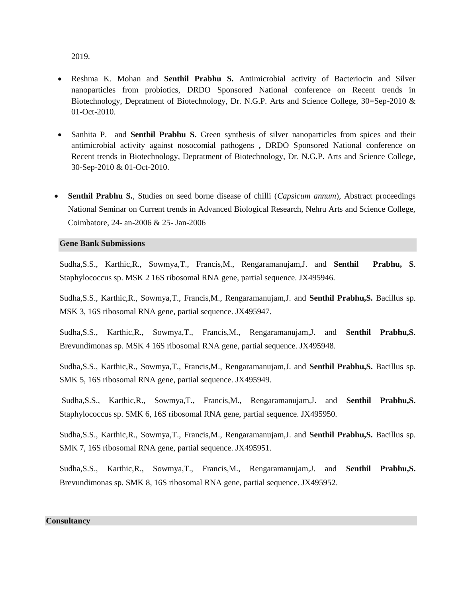2019.

- Reshma K. Mohan and **Senthil Prabhu S.** Antimicrobial activity of Bacteriocin and Silver nanoparticles from probiotics, DRDO Sponsored National conference on Recent trends in Biotechnology, Depratment of Biotechnology, Dr. N.G.P. Arts and Science College, 30=Sep-2010 & 01-Oct-2010.
- Sanhita P. and **Senthil Prabhu S.** Green synthesis of silver nanoparticles from spices and their antimicrobial activity against nosocomial pathogens **,** DRDO Sponsored National conference on Recent trends in Biotechnology, Depratment of Biotechnology, Dr. N.G.P. Arts and Science College, 30-Sep-2010 & 01-Oct-2010.
- **Senthil Prabhu S.**, Studies on seed borne disease of chilli (*Capsicum annum*), Abstract proceedings National Seminar on Current trends in Advanced Biological Research, Nehru Arts and Science College, Coimbatore, 24- an-2006 & 25- Jan-2006

#### **Gene Bank Submissions**

Sudha,S.S., Karthic,R., Sowmya,T., Francis,M., Rengaramanujam,J. and **Senthil Prabhu, S**. Staphylococcus sp. MSK 2 16S ribosomal RNA gene, partial sequence. JX495946.

Sudha,S.S., Karthic,R., Sowmya,T., Francis,M., Rengaramanujam,J. and **Senthil Prabhu,S.** Bacillus sp. MSK 3, 16S ribosomal RNA gene, partial sequence. JX495947.

Sudha,S.S., Karthic,R., Sowmya,T., Francis,M., Rengaramanujam,J. and **Senthil Prabhu,S**. Brevundimonas sp. MSK 4 16S ribosomal RNA gene, partial sequence. JX495948.

Sudha,S.S., Karthic,R., Sowmya,T., Francis,M., Rengaramanujam,J. and **Senthil Prabhu,S.** Bacillus sp. SMK 5, 16S ribosomal RNA gene, partial sequence. JX495949.

Sudha,S.S., Karthic,R., Sowmya,T., Francis,M., Rengaramanujam,J. and **Senthil Prabhu,S.** Staphylococcus sp. SMK 6, 16S ribosomal RNA gene, partial sequence. JX495950.

Sudha,S.S., Karthic,R., Sowmya,T., Francis,M., Rengaramanujam,J. and **Senthil Prabhu,S.** Bacillus sp. SMK 7, 16S ribosomal RNA gene, partial sequence. JX495951.

Sudha,S.S., Karthic,R., Sowmya,T., Francis,M., Rengaramanujam,J. and **Senthil Prabhu,S.** Brevundimonas sp. SMK 8, 16S ribosomal RNA gene, partial sequence. JX495952

#### **Consultancy**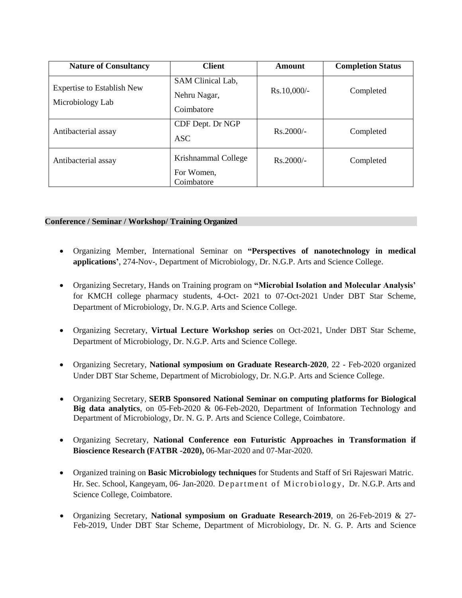| <b>Nature of Consultancy</b>                          | <b>Client</b>                                   | Amount        | <b>Completion Status</b> |
|-------------------------------------------------------|-------------------------------------------------|---------------|--------------------------|
| <b>Expertise to Establish New</b><br>Microbiology Lab | SAM Clinical Lab,<br>Nehru Nagar,<br>Coimbatore | $Rs.10,000/-$ | Completed                |
| Antibacterial assay                                   | CDF Dept. Dr NGP<br>ASC                         | $Rs.2000/-$   | Completed                |
| Antibacterial assay                                   | Krishnammal College<br>For Women,<br>Coimbatore | $Rs.2000/-$   | Completed                |

# **Conference / Seminar / Workshop/ Training Organized**

- Organizing Member, International Seminar on **"Perspectives of nanotechnology in medical applications'**, 274-Nov-, Department of Microbiology, Dr. N.G.P. Arts and Science College.
- Organizing Secretary, Hands on Training program on **"Microbial Isolation and Molecular Analysis'** for KMCH college pharmacy students, 4-Oct- 2021 to 07-Oct-2021 Under DBT Star Scheme, Department of Microbiology, Dr. N.G.P. Arts and Science College.
- Organizing Secretary, **Virtual Lecture Workshop series** on Oct-2021, Under DBT Star Scheme, Department of Microbiology, Dr. N.G.P. Arts and Science College.
- Organizing Secretary, **National symposium on Graduate Research-2020**, 22 Feb-2020 organized Under DBT Star Scheme, Department of Microbiology, Dr. N.G.P. Arts and Science College.
- Organizing Secretary, **SERB Sponsored National Seminar on computing platforms for Biological Big data analytics**, on 05-Feb-2020 & 06-Feb-2020, Department of Information Technology and Department of Microbiology, Dr. N. G. P. Arts and Science College, Coimbatore.
- Organizing Secretary, **National Conference eon Futuristic Approaches in Transformation if Bioscience Research (FATBR -2020),** 06-Mar-2020 and 07-Mar-2020.
- Organized training on **Basic Microbiology techniques** for Students and Staff of Sri Rajeswari Matric. Hr. Sec. School, Kangeyam, 06- Jan-2020. Department of Microbiology, Dr. N.G.P. Arts and Science College, Coimbatore.
- Organizing Secretary, **National symposium on Graduate Research**-**2019**, on 26-Feb-2019 & 27- Feb-2019, Under DBT Star Scheme, Department of Microbiology, Dr. N. G. P. Arts and Science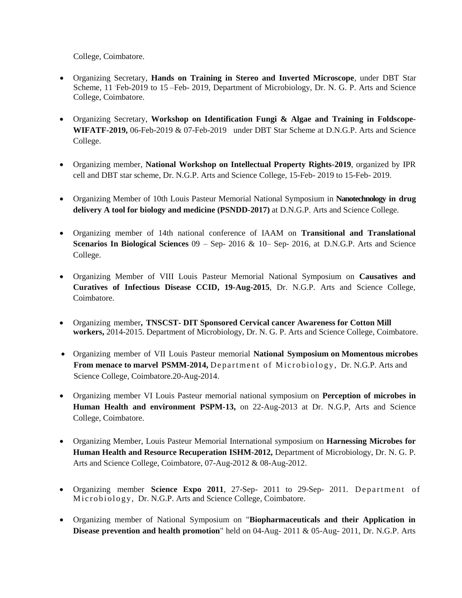College, Coimbatore.

- Organizing Secretary, **Hands on Training in Stereo and Inverted Microscope**, under DBT Star Scheme, 11 Feb-2019 to 15 – Feb- 2019, Department of Microbiology, Dr. N. G. P. Arts and Science College, Coimbatore.
- Organizing Secretary, **Workshop on Identification Fungi & Algae and Training in Foldscope-WIFATF-2019,** 06-Feb-2019 & 07-Feb-2019 under DBT Star Scheme at D.N.G.P. Arts and Science College.
- Organizing member, **National Workshop on Intellectual Property Rights-2019**, organized by IPR cell and DBT star scheme, Dr. N.G.P. Arts and Science College, 15-Feb- 2019 to 15-Feb- 2019.
- Organizing Member of 10th Louis Pasteur Memorial National Symposium in **Nanotechnology in drug delivery A tool for biology and medicine (PSNDD-2017)** at D.N.G.P. Arts and Science College.
- Organizing member of 14th national conference of IAAM on **Transitional and Translational Scenarios In Biological Sciences** 09 – Sep- 2016 & 10– Sep- 2016, at D.N.G.P. Arts and Science College.
- Organizing Member of VIII Louis Pasteur Memorial National Symposium on **Causatives and Curatives of Infectious Disease CCID, 19-Aug-2015**, Dr. N.G.P. Arts and Science College, Coimbatore.
- Organizing member**, TNSCST- DIT Sponsored Cervical cancer Awareness for Cotton Mill workers,** 2014-2015. Department of Microbiology, Dr. N. G. P. Arts and Science College, Coimbatore.
- Organizing member of VII Louis Pasteur memorial **National Symposium on Momentous microbes From menace to marvel PSMM-2014,** Department of Microbiology, Dr. N.G.P. Arts and Science College, Coimbatore.20-Aug-2014.
- Organizing member VI Louis Pasteur memorial national symposium on **Perception of microbes in Human Health and environment PSPM-13,** on 22-Aug-2013 at Dr. N.G.P, Arts and Science College, Coimbatore.
- Organizing Member, Louis Pasteur Memorial International symposium on **Harnessing Microbes for Human Health and Resource Recuperation ISHM-2012,** Department of Microbiology, Dr. N. G. P. Arts and Science College, Coimbatore, 07-Aug-2012 & 08-Aug-2012.
- Organizing member **Science Expo 2011**, 27-Sep- 2011 to 29-Sep- 2011. Department of Microbiology, Dr. N.G.P. Arts and Science College, Coimbatore.
- Organizing member of National Symposium on "**Biopharmaceuticals and their Application in Disease prevention and health promotion**" held on 04-Aug- 2011 & 05-Aug- 2011, Dr. N.G.P. Arts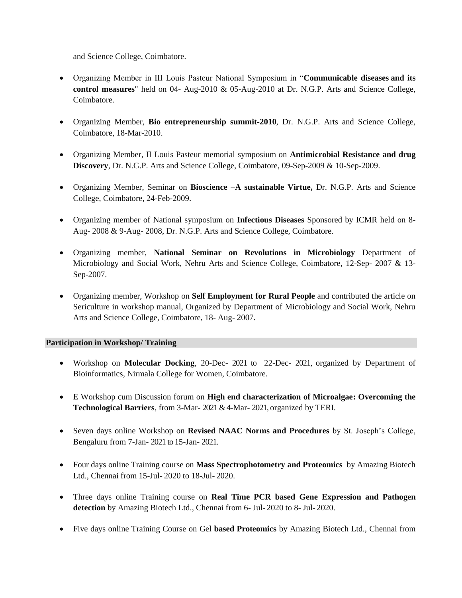and Science College, Coimbatore.

- Organizing Member in III Louis Pasteur National Symposium in "**Communicable diseases and its control measures**" held on 04- Aug-2010 & 05-Aug-2010 at Dr. N.G.P. Arts and Science College, Coimbatore.
- Organizing Member, **Bio entrepreneurship summit-2010**, Dr. N.G.P. Arts and Science College, Coimbatore, 18-Mar-2010.
- Organizing Member, II Louis Pasteur memorial symposium on **Antimicrobial Resistance and drug Discovery**, Dr. N.G.P. Arts and Science College, Coimbatore, 09-Sep-2009 & 10-Sep-2009.
- Organizing Member, Seminar on **Bioscience –A sustainable Virtue,** Dr. N.G.P. Arts and Science College, Coimbatore, 24-Feb-2009.
- Organizing member of National symposium on **Infectious Diseases** Sponsored by ICMR held on 8- Aug- 2008 & 9-Aug- 2008, Dr. N.G.P. Arts and Science College, Coimbatore.
- Organizing member, **National Seminar on Revolutions in Microbiology** Department of Microbiology and Social Work, Nehru Arts and Science College, Coimbatore, 12-Sep- 2007 & 13- Sep-2007.
- Organizing member, Workshop on **Self Employment for Rural People** and contributed the article on Sericulture in workshop manual, Organized by Department of Microbiology and Social Work, Nehru Arts and Science College, Coimbatore, 18- Aug- 2007.

### **Participation in Workshop/ Training**

- Workshop on **Molecular Docking**, 20-Dec- 2021 to 22-Dec- 2021, organized by Department of Bioinformatics, Nirmala College for Women, Coimbatore.
- E Workshop cum Discussion forum on **High end characterization of Microalgae: Overcoming the Technological Barriers**, from 3-Mar- 2021& 4-Mar- 2021, organized by TERI.
- Seven days online Workshop on **Revised NAAC Norms and Procedures** by St. Joseph's College, Bengaluru from 7-Jan- 2021 to 15-Jan- 2021.
- Four days online Training course on **Mass Spectrophotometry and Proteomics** by Amazing Biotech Ltd., Chennai from 15-Jul- 2020 to 18-Jul- 2020.
- Three days online Training course on **Real Time PCR based Gene Expression and Pathogen detection** by Amazing Biotech Ltd., Chennai from 6- Jul- 2020 to 8- Jul- 2020.
- Five days online Training Course on Gel **based Proteomics** by Amazing Biotech Ltd., Chennai from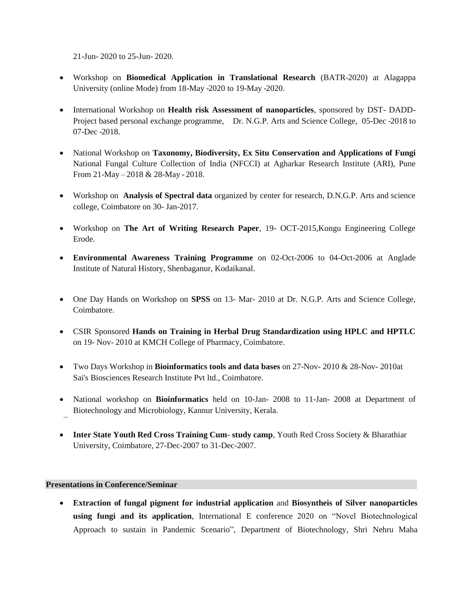21-Jun- 2020 to 25-Jun- 2020.

- Workshop on **Biomedical Application in Translational Research** (BATR-2020) at Alagappa University (online Mode) from 18-May -2020 to 19-May -2020.
- International Workshop on **Health risk Assessment of nanoparticles**, sponsored by DST- DADD-Project based personal exchange programme, Dr. N.G.P. Arts and Science College, 05-Dec -2018 to 07-Dec -2018.
- National Workshop on **Taxonomy, Biodiversity, Ex Situ Conservation and Applications of Fungi** National Fungal Culture Collection of India (NFCCI) at Agharkar Research Institute (ARI), Pune From 21-May – 2018 & 28-May - 2018.
- Workshop on **Analysis of Spectral data** organized by center for research, D.N.G.P. Arts and science college, Coimbatore on 30- Jan-2017.
- Workshop on **The Art of Writing Research Paper**, 19- OCT-2015,Kongu Engineering College Erode.
- **Environmental Awareness Training Programme** on 02-Oct-2006 to 04-Oct-2006 at Anglade Institute of Natural History, Shenbaganur, Kodaikanal.
- One Day Hands on Workshop on **SPSS** on 13- Mar- 2010 at Dr. N.G.P. Arts and Science College, Coimbatore.
- CSIR Sponsored **Hands on Training in Herbal Drug Standardization using HPLC and HPTLC** on 19- Nov- 2010 at KMCH College of Pharmacy, Coimbatore.
- Two Days Workshop in **Bioinformatics tools and data bases** on 27-Nov- 2010 & 28-Nov- 2010at Sai's Biosciences Research Institute Pvt ltd., Coimbatore.
- National workshop on **Bioinformatics** held on 10-Jan- 2008 to 11-Jan- 2008 at Department of Biotechnology and Microbiology, Kannur University, Kerala.
- **Inter State Youth Red Cross Training Cum- study camp**, Youth Red Cross Society & Bharathiar University, Coimbatore, 27-Dec-2007 to 31-Dec-2007.

### **Presentations in Conference/Seminar**

• **Extraction of fungal pigment for industrial application** and **Biosyntheis of Silver nanoparticles using fungi and its application**, International E conference 2020 on "Novel Biotechnological Approach to sustain in Pandemic Scenario", Department of Biotechnology, Shri Nehru Maha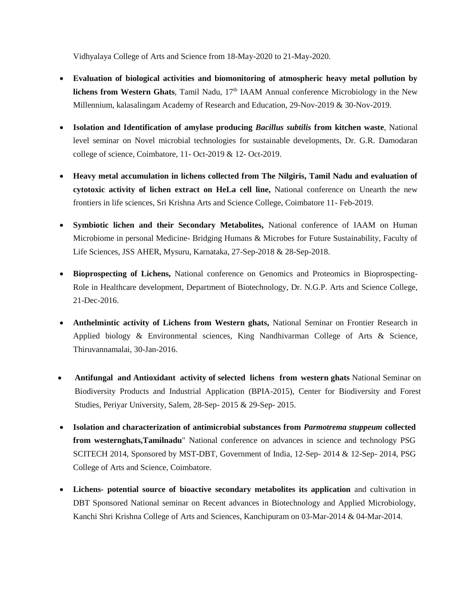Vidhyalaya College of Arts and Science from 18-May-2020 to 21-May-2020.

- **Evaluation of biological activities and biomonitoring of atmospheric heavy metal pollution by lichens from Western Ghats**, Tamil Nadu, 17<sup>th</sup> IAAM Annual conference Microbiology in the New Millennium, kalasalingam Academy of Research and Education, 29-Nov-2019 & 30-Nov-2019.
- **Isolation and Identification of amylase producing** *Bacillus subtilis* **from kitchen waste**, National level seminar on Novel microbial technologies for sustainable developments, Dr. G.R. Damodaran college of science, Coimbatore, 11- Oct-2019 & 12- Oct-2019.
- **Heavy metal accumulation in lichens collected from The Nilgiris, Tamil Nadu and evaluation of cytotoxic activity of lichen extract on HeLa cell line,** National conference on Unearth the new frontiers in life sciences, Sri Krishna Arts and Science College, Coimbatore 11- Feb-2019.
- **Symbiotic lichen and their Secondary Metabolites,** National conference of IAAM on Human Microbiome in personal Medicine- Bridging Humans & Microbes for Future Sustainability, Faculty of Life Sciences, JSS AHER, Mysuru, Karnataka, 27-Sep-2018 & 28-Sep-2018.
- **Bioprospecting of Lichens,** National conference on Genomics and Proteomics in Bioprospecting-Role in Healthcare development, Department of Biotechnology, Dr. N.G.P. Arts and Science College, 21-Dec-2016.
- **Anthelmintic activity of Lichens from Western ghats,** National Seminar on Frontier Research in Applied biology & Environmental sciences, King Nandhivarman College of Arts & Science, Thiruvannamalai, 30-Jan-2016.
- **Antifungal and Antioxidant activity of selected lichens from western ghats** National Seminar on Biodiversity Products and Industrial Application (BPIA-2015), Center for Biodiversity and Forest Studies, Periyar University, Salem, 28-Sep- 2015 & 29-Sep- 2015.
- **Isolation and characterization of antimicrobial substances from** *Parmotrema stuppeum* **collected from westernghats,Tamilnadu**" National conference on advances in science and technology PSG SCITECH 2014, Sponsored by MST-DBT, Government of India, 12-Sep- 2014 & 12-Sep- 2014, PSG College of Arts and Science, Coimbatore.
- **Lichens- potential source of bioactive secondary metabolites its application** and cultivation in DBT Sponsored National seminar on Recent advances in Biotechnology and Applied Microbiology, Kanchi Shri Krishna College of Arts and Sciences, Kanchipuram on 03-Mar-2014 & 04-Mar-2014.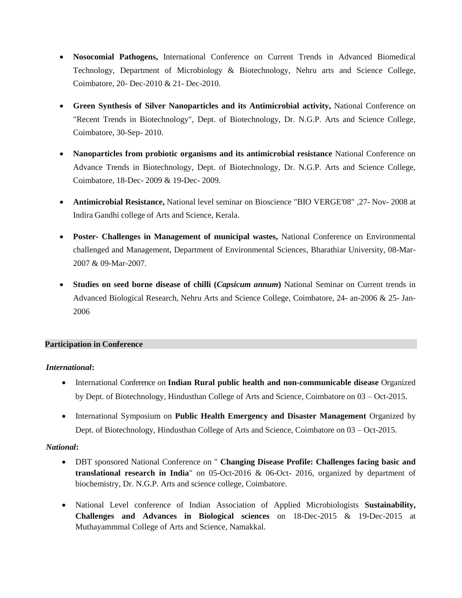- **Nosocomial Pathogens,** International Conference on Current Trends in Advanced Biomedical Technology, Department of Microbiology & Biotechnology, Nehru arts and Science College, Coimbatore, 20- Dec-2010 & 21- Dec-2010.
- **Green Synthesis of Silver Nanoparticles and its Antimicrobial activity,** National Conference on "Recent Trends in Biotechnology", Dept. of Biotechnology, Dr. N.G.P. Arts and Science College, Coimbatore, 30-Sep- 2010.
- **Nanoparticles from probiotic organisms and its antimicrobial resistance** National Conference on Advance Trends in Biotechnology, Dept. of Biotechnology, Dr. N.G.P. Arts and Science College, Coimbatore, 18-Dec- 2009 & 19-Dec- 2009.
- **Antimicrobial Resistance,** National level seminar on Bioscience "BIO VERGE'08" ,27- Nov- 2008 at Indira Gandhi college of Arts and Science, Kerala.
- **Poster- Challenges in Management of municipal wastes,** National Conference on Environmental challenged and Management, Department of Environmental Sciences, Bharathiar University, 08-Mar-2007 & 09-Mar-2007.
- **Studies on seed borne disease of chilli (***Capsicum annum***)** National Seminar on Current trends in Advanced Biological Research, Nehru Arts and Science College, Coimbatore, 24- an-2006 & 25- Jan-2006

### **Participation in Conference**

### *International***:**

- International Conference on **Indian Rural public health and non-communicable disease** Organized by Dept. of Biotechnology, Hindusthan College of Arts and Science, Coimbatore on 03 – Oct-2015.
- International Symposium on **Public Health Emergency and Disaster Management** Organized by Dept. of Biotechnology, Hindusthan College of Arts and Science, Coimbatore on 03 – Oct-2015.

### *National***:**

- DBT sponsored National Conference on " **Changing Disease Profile: Challenges facing basic and translational research in India**" on 05-Oct-2016 & 06-Oct- 2016, organized by department of biochemistry, Dr. N.G.P. Arts and science college, Coimbatore.
- National Level conference of Indian Association of Applied Microbiologists **Sustainability, Challenges and Advances in Biological sciences** on 18-Dec-2015 & 19-Dec-2015 at Muthayammmal College of Arts and Science, Namakkal.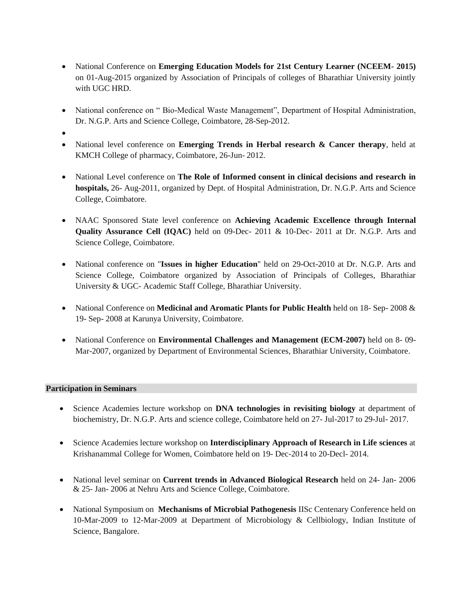- National Conference on **Emerging Education Models for 21st Century Learner (NCEEM- 2015)** on 01-Aug-2015 organized by Association of Principals of colleges of Bharathiar University jointly with UGC HRD.
- National conference on "Bio-Medical Waste Management", Department of Hospital Administration, Dr. N.G.P. Arts and Science College, Coimbatore, 28-Sep-2012.
- •
- National level conference on **Emerging Trends in Herbal research & Cancer therapy**, held at KMCH College of pharmacy, Coimbatore, 26-Jun- 2012.
- National Level conference on **The Role of Informed consent in clinical decisions and research in hospitals,** 26- Aug-2011, organized by Dept. of Hospital Administration, Dr. N.G.P. Arts and Science College, Coimbatore.
- NAAC Sponsored State level conference on **Achieving Academic Excellence through Internal Quality Assurance Cell (IQAC)** held on 09-Dec- 2011 & 10-Dec- 2011 at Dr. N.G.P. Arts and Science College, Coimbatore.
- National conference on "**Issues in higher Education**" held on 29-Oct-2010 at Dr. N.G.P. Arts and Science College, Coimbatore organized by Association of Principals of Colleges, Bharathiar University & UGC- Academic Staff College, Bharathiar University.
- National Conference on **Medicinal and Aromatic Plants for Public Health** held on 18- Sep- 2008 & 19- Sep- 2008 at Karunya University, Coimbatore.
- National Conference on **Environmental Challenges and Management (ECM-2007)** held on 8- 09- Mar-2007, organized by Department of Environmental Sciences, Bharathiar University, Coimbatore.

# **Participation in Seminars**

- Science Academies lecture workshop on **DNA technologies in revisiting biology** at department of biochemistry, Dr. N.G.P. Arts and science college, Coimbatore held on 27- Jul-2017 to 29-Jul- 2017.
- Science Academies lecture workshop on **Interdisciplinary Approach of Research in Life sciences** at Krishanammal College for Women, Coimbatore held on 19- Dec-2014 to 20-Decl- 2014.
- National level seminar on **Current trends in Advanced Biological Research** held on 24- Jan- 2006 & 25- Jan- 2006 at Nehru Arts and Science College, Coimbatore.
- National Symposium on **Mechanisms of Microbial Pathogenesis** IISc Centenary Conference held on 10-Mar-2009 to 12-Mar-2009 at Department of Microbiology & Cellbiology, Indian Institute of Science, Bangalore.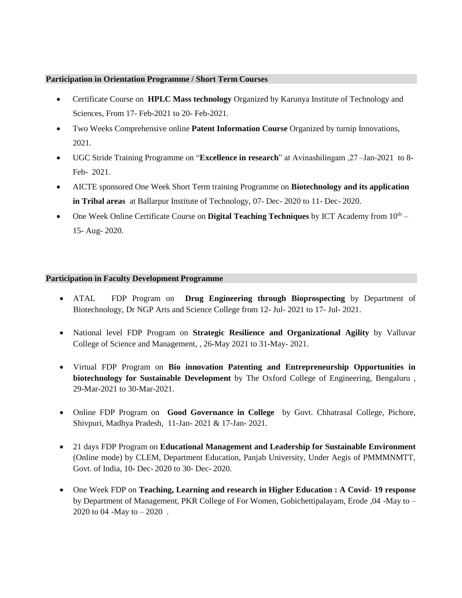#### **Participation in Orientation Programme / Short Term Courses**

- Certificate Course on **HPLC Mass technology** Organized by Karunya Institute of Technology and Sciences, From 17- Feb-2021 to 20- Feb-2021.
- Two Weeks Comprehensive online **Patent Information Course** Organized by turnip Innovations, 2021.
- UGC Stride Training Programme on "**Excellence in research**" at Avinashilingam ,27 –Jan-2021 to 8- Feb- 2021.
- AICTE sponsored One Week Short Term training Programme on **Biotechnology and its application in Tribal areas** at Ballarpur Institute of Technology, 07- Dec- 2020 to 11- Dec- 2020.
- One Week Online Certificate Course on **Digital Teaching Techniques** by ICT Academy from  $10^{th}$  15- Aug- 2020.

### **Participation in Faculty Development Programme**

- ATAL FDP Program on **Drug Engineering through Bioprospecting** by Department of Biotechnology, Dr NGP Arts and Science College from 12- Jul- 2021 to 17- Jul- 2021.
- National level FDP Program on **Strategic Resilience and Organizational Agility** by Valluvar College of Science and Management, , 26-May 2021 to 31-May- 2021.
- Virtual FDP Program on **Bio innovation Patenting and Entrepreneurship Opportunities in biotechnology for Sustainable Development** by The Oxford College of Engineering, Bengaluru , 29-Mar-2021 to 30-Mar-2021.
- Online FDP Program on **Good Governance in College** by Govt. Chhatrasal College, Pichore, Shivpuri, Madhya Pradesh, 11-Jan- 2021 & 17-Jan- 2021.
- 21 days FDP Program on **Educational Management and Leadership for Sustainable Environment** (Online mode) by CLEM, Department Education, Panjab University, Under Aegis of PMMMNMTT, Govt. of India, 10- Dec- 2020 to 30- Dec- 2020.
- One Week FDP on **Teaching, Learning and research in Higher Education : A Covid- 19 response** by Department of Management, PKR College of For Women, Gobichettipalayam, Erode ,04 -May to -2020 to 04 -May to  $-2020$ .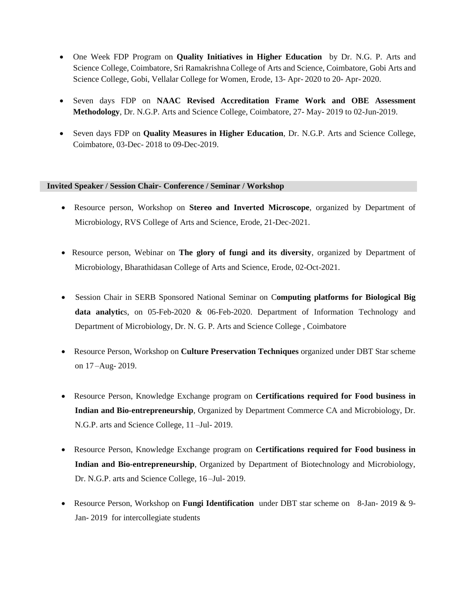- One Week FDP Program on **Quality Initiatives in Higher Education** by Dr. N.G. P. Arts and Science College, Coimbatore, Sri Ramakrishna College of Arts and Science, Coimbatore, Gobi Arts and Science College, Gobi, Vellalar College for Women, Erode, 13- Apr- 2020 to 20- Apr- 2020.
- Seven days FDP on **NAAC Revised Accreditation Frame Work and OBE Assessment Methodology**, Dr. N.G.P. Arts and Science College, Coimbatore, 27- May- 2019 to 02-Jun-2019.
- Seven days FDP on **Quality Measures in Higher Education**, Dr. N.G.P. Arts and Science College, Coimbatore, 03-Dec- 2018 to 09-Dec-2019.

#### **Invited Speaker / Session Chair- Conference / Seminar / Workshop**

- Resource person, Workshop on **Stereo and Inverted Microscope**, organized by Department of Microbiology, RVS College of Arts and Science, Erode, 21-Dec-2021.
- Resource person, Webinar on **The glory of fungi and its diversity**, organized by Department of Microbiology, Bharathidasan College of Arts and Science, Erode, 02-Oct-2021.
- Session Chair in SERB Sponsored National Seminar on C**omputing platforms for Biological Big data analytic**s, on 05-Feb-2020 & 06-Feb-2020. Department of Information Technology and Department of Microbiology, Dr. N. G. P. Arts and Science College , Coimbatore
- Resource Person, Workshop on **Culture Preservation Techniques** organized under DBT Star scheme on 17 –Aug- 2019.
- Resource Person, Knowledge Exchange program on **Certifications required for Food business in Indian and Bio-entrepreneurship**, Organized by Department Commerce CA and Microbiology, Dr. N.G.P. arts and Science College, 11 –Jul- 2019.
- Resource Person, Knowledge Exchange program on **Certifications required for Food business in Indian and Bio-entrepreneurship**, Organized by Department of Biotechnology and Microbiology, Dr. N.G.P. arts and Science College, 16 –Jul- 2019.
- Resource Person, Workshop on **Fungi Identification** under DBT star scheme on 8-Jan- 2019 & 9- Jan- 2019 for intercollegiate students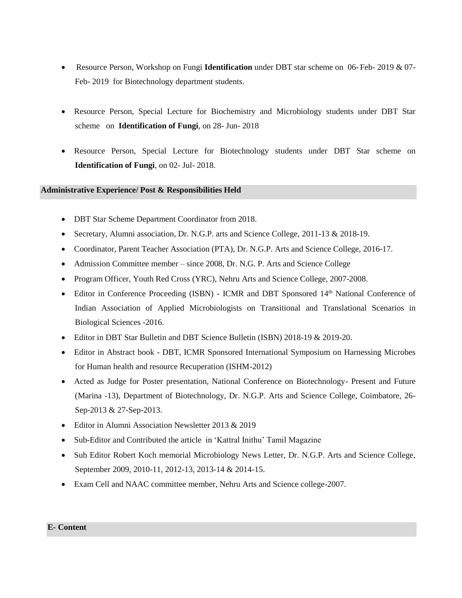- Resource Person, Workshop on Fungi **Identification** under DBT star scheme on 06- Feb- 2019 & 07- Feb- 2019 for Biotechnology department students.
- Resource Person, Special Lecture for Biochemistry and Microbiology students under DBT Star scheme on **Identification of Fungi**, on 28- Jun- 2018
- Resource Person, Special Lecture for Biotechnology students under DBT Star scheme on **Identification of Fungi**, on 02- Jul- 2018.

### **Administrative Experience/ Post & Responsibilities Held**

- DBT Star Scheme Department Coordinator from 2018.
- Secretary, Alumni association, Dr. N.G.P. arts and Science College, 2011-13 & 2018-19.
- Coordinator, Parent Teacher Association (PTA), Dr. N.G.P. Arts and Science College, 2016-17.
- Admission Committee member since 2008, Dr. N.G. P. Arts and Science College
- Program Officer, Youth Red Cross (YRC), Nehru Arts and Science College, 2007-2008.
- Editor in Conference Proceeding (ISBN) ICMR and DBT Sponsored 14<sup>th</sup> National Conference of Indian Association of Applied Microbiologists on Transitional and Translational Scenarios in Biological Sciences -2016.
- Editor in DBT Star Bulletin and DBT Science Bulletin (ISBN) 2018-19 & 2019-20.
- Editor in Abstract book DBT, ICMR Sponsored International Symposium on Harnessing Microbes for Human health and resource Recuperation (ISHM-2012)
- Acted as Judge for Poster presentation, National Conference on Biotechnology- Present and Future (Marina -13), Department of Biotechnology, Dr. N.G.P. Arts and Science College, Coimbatore, 26- Sep-2013 & 27-Sep-2013.
- Editor in Alumni Association Newsletter 2013 & 2019
- Sub-Editor and Contributed the article in 'Kattral Inithu' Tamil Magazine
- Sub Editor Robert Koch memorial Microbiology News Letter, Dr. N.G.P. Arts and Science College, September 2009, 2010-11, 2012-13, 2013-14 & 2014-15.
- Exam Cell and NAAC committee member, Nehru Arts and Science college-2007.

#### **E- Content**